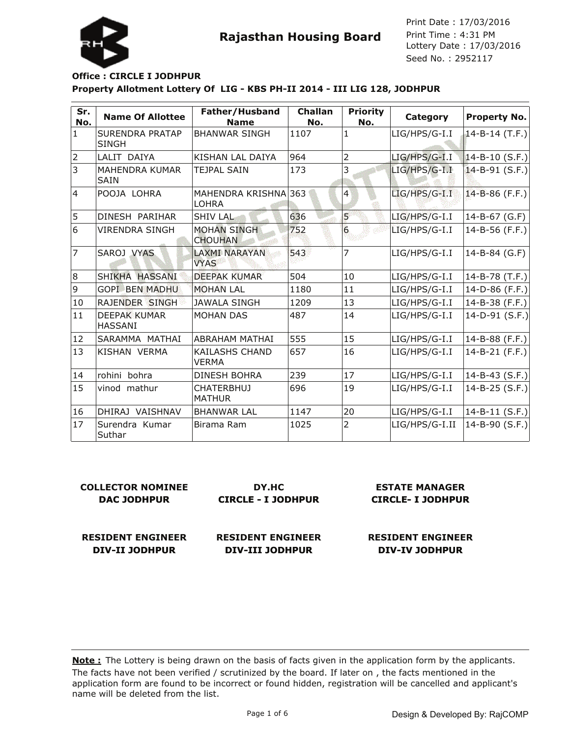

Lottery Date : 17/03/2016 Seed No. : 2952117 Print Date : 17/03/2016 Print Time : 4:31 PM

### **Property Allotment Lottery Of LIG - KBS PH-II 2014 - III LIG 128, JODHPUR Office : CIRCLE I JODHPUR**

| Sr.<br>No.     | <b>Name Of Allottee</b>                | Father/Husband<br><b>Name</b>         | <b>Challan</b><br>No. | <b>Priority</b><br>No.  | Category        | <b>Property No.</b>  |
|----------------|----------------------------------------|---------------------------------------|-----------------------|-------------------------|-----------------|----------------------|
| $\vert$ 1      | <b>SURENDRA PRATAP</b><br><b>SINGH</b> | <b>BHANWAR SINGH</b>                  | 1107                  | $\mathbf{1}$            | $LIG/HPS/G-I.I$ | $14 - B - 14$ (T.F.) |
| $\overline{2}$ | LALIT DAIYA                            | KISHAN LAL DAIYA                      | 964                   | $\overline{2}$          | LIG/HPS/G-I.I   | $14 - B - 10 (S.F.)$ |
| 3              | <b>MAHENDRA KUMAR</b><br><b>SAIN</b>   | <b>TEJPAL SAIN</b>                    | 173                   | 3                       | LIG/HPS/G-I.I   | $14 - B - 91$ (S.F.) |
| $\overline{4}$ | POOJA LOHRA                            | MAHENDRA KRISHNA 363<br><b>LOHRA</b>  |                       | $\overline{4}$          | LIG/HPS/G-I.I   | 14-B-86 (F.F.)       |
| 5              | DINESH PARIHAR                         | <b>SHIV LAL</b>                       | 636                   | $\overline{\mathbf{5}}$ | LIG/HPS/G-I.I   | 14-B-67 (G.F)        |
| 6              | <b>VIRENDRA SINGH</b>                  | <b>MOHAN SINGH</b><br><b>CHOUHAN</b>  | 752                   | 6                       | LIG/HPS/G-I.I   | 14-B-56 (F.F.)       |
| $\overline{7}$ | SAROJ VYAS                             | <b>LAXMI NARAYAN</b><br><b>VYAS</b>   | 543                   | 7                       | $LIG/HPS/G-I.I$ | 14-B-84 (G.F)        |
| 8              | SHIKHA HASSANI                         | <b>DEEPAK KUMAR</b>                   | 504                   | 10                      | LIG/HPS/G-I.I   | 14-B-78 (T.F.)       |
| 9              | <b>GOPI BEN MADHU</b>                  | <b>MOHAN LAL</b>                      | 1180                  | 11                      | LIG/HPS/G-I.I   | 14-D-86 (F.F.)       |
| 10             | RAJENDER SINGH                         | JAWALA SINGH                          | 1209                  | 13                      | LIG/HPS/G-I.I   | 14-B-38 (F.F.)       |
| 11             | <b>DEEPAK KUMAR</b><br><b>HASSANI</b>  | <b>MOHAN DAS</b>                      | 487                   | 14                      | LIG/HPS/G-I.I   | 14-D-91 $(S.F.)$     |
| 12             | SARAMMA MATHAI                         | <b>ABRAHAM MATHAI</b>                 | 555                   | 15                      | $LIG/HPS/G-I.I$ | 14-B-88 (F.F.)       |
| 13             | KISHAN VERMA                           | <b>KAILASHS CHAND</b><br><b>VERMA</b> | 657                   | 16                      | LIG/HPS/G-I.I   | 14-B-21 (F.F.)       |
| 14             | rohini bohra                           | <b>DINESH BOHRA</b>                   | 239                   | 17                      | LIG/HPS/G-I.I   | 14-B-43 $(S.F.)$     |
| 15             | vinod mathur                           | <b>CHATERBHUJ</b><br>IMATHUR          | 696                   | 19                      | LIG/HPS/G-I.I   | 14-B-25 (S.F.)       |
| 16             | DHIRAJ VAISHNAV                        | <b>BHANWAR LAL</b>                    | 1147                  | 20                      | LIG/HPS/G-I.I   | 14-B-11 $(S.F.)$     |
| 17             | Surendra Kumar<br>Suthar               | Birama Ram                            | 1025                  | $\overline{2}$          | LIG/HPS/G-I.II  | 14-B-90 (S.F.)       |

| <b>COLLECTOR NOMINEE</b> | DY.HC                     | <b>ESTATE MANAGER</b>    |  |
|--------------------------|---------------------------|--------------------------|--|
| <b>DAC JODHPUR</b>       | <b>CIRCLE - I JODHPUR</b> | <b>CIRCLE- I JODHPUR</b> |  |
|                          |                           |                          |  |

**RESIDENT ENGINEER DIV-II JODHPUR**

**RESIDENT ENGINEER DIV-III JODHPUR**

**RESIDENT ENGINEER**

**DIV-IV JODHPUR**

The facts have not been verified / scrutinized by the board. If later on, the facts mentioned in the application form are found to be incorrect or found hidden, registration will be cancelled and applicant's name will be deleted from the list. **Note :** The Lottery is being drawn on the basis of facts given in the application form by the applicants.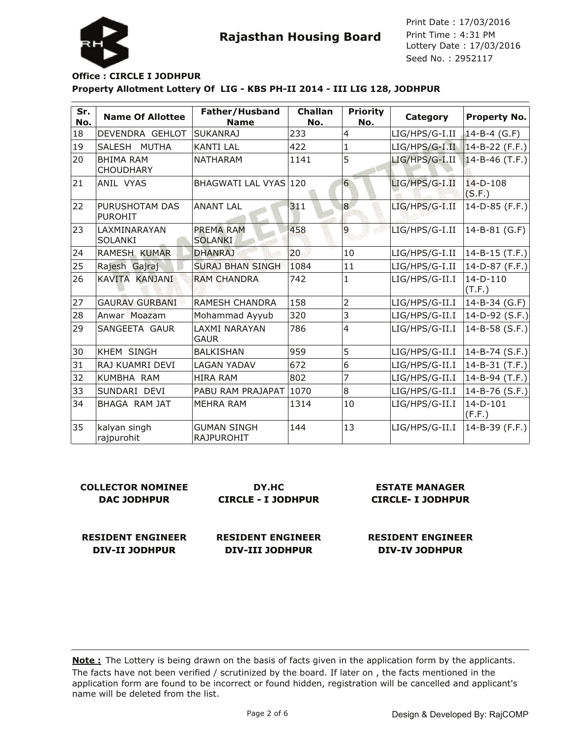Lottery Date : 17/03/2016 Seed No. : 2952117 Print Date : 17/03/2016 Print Time : 4:31 PM



#### **Property Allotment Lottery Of LIG - KBS PH-II 2014 - III LIG 128, JODHPUR Office : CIRCLE I JODHPUR**

| Sr.<br>No. | <b>Name Of Allottee</b>              | Father/Husband<br><b>Name</b>           | <b>Challan</b><br>No. | <b>Priority</b><br>No. | Category       | <b>Property No.</b>   |
|------------|--------------------------------------|-----------------------------------------|-----------------------|------------------------|----------------|-----------------------|
| 18         | DEVENDRA GEHLOT                      | <b>SUKANRAJ</b>                         | 233                   | $\overline{4}$         | LIG/HPS/G-I.II | $14 - B - 4$ (G.F)    |
| 19         | <b>MUTHA</b><br>lSALESH              | <b>KANTI LAL</b>                        | 422                   | $\mathbf{1}$           | LIG/HPS/G-I.II | $14 - B - 22$ (F.F.)  |
| 20         | <b>BHIMA RAM</b><br><b>CHOUDHARY</b> | <b>NATHARAM</b>                         | 1141                  | 5                      | LIG/HPS/G-I.II | $14 - B - 46$ (T.F.)  |
| 21         | ANIL VYAS                            | BHAGWATI LAL VYAS 120                   |                       | 6                      | LIG/HPS/G-I.II | $14-D-108$<br>(S.F.)  |
| 22         | PURUSHOTAM DAS<br><b>PUROHIT</b>     | <b>ANANT LAL</b>                        | 311                   | 8                      | LIG/HPS/G-I.II | 14-D-85 (F.F.)        |
| 23         | LAXMINARAYAN<br>ISOLANKI             | PREMA RAM<br><b>SOLANKI</b>             | 458                   | $\overline{9}$         | LIG/HPS/G-I.II | 14-B-81 (G.F)         |
| 24         | RAMESH KUMAR                         | <b>DHANRAJ</b>                          | 20                    | 10                     | LIG/HPS/G-I.II | $ 14$ -B-15 (T.F.)    |
| 25         | Rajesh Gajraj                        | <b>SURAJ BHAN SINGH</b>                 | 1084                  | 11                     | LIG/HPS/G-I.II | 14-D-87 (F.F.)        |
| 26         | KAVITA KANJANI                       | <b>RAM CHANDRA</b>                      | 742                   | 1                      | LIG/HPS/G-II.I | $14-D-110$<br>(T.F.)  |
| 27         | <b>GAURAV GURBANI</b>                | <b>RAMESH CHANDRA</b>                   | 158                   | $\overline{2}$         | LIG/HPS/G-II.I | 14-B-34 (G.F)         |
| 28         | Anwar Moazam                         | Mohammad Ayyub                          | 320                   | 3                      | LIG/HPS/G-II.I | $14-D-92$ (S.F.)      |
| 29         | SANGEETA GAUR                        | LAXMI NARAYAN<br><b>GAUR</b>            | 786                   | $\overline{4}$         | LIG/HPS/G-II.I | 14-B-58 $(S.F.)$      |
| 30         | KHEM SINGH                           | <b>BALKISHAN</b>                        | 959                   | 5                      | LIG/HPS/G-II.I | $ 14 - B - 74$ (S.F.) |
| 31         | RAJ KUAMRI DEVI                      | LAGAN YADAV                             | 672                   | 6                      | LIG/HPS/G-II.I | $14 - B - 31$ (T.F.)  |
| 32         | KUMBHA RAM                           | <b>HIRA RAM</b>                         | 802                   | 7                      | LIG/HPS/G-II.I | $14 - B - 94$ (T.F.)  |
| 33         | İSUNDARI DEVI                        | PABU RAM PRAJAPAT                       | 1070                  | $\overline{8}$         | LIG/HPS/G-II.I | 14-B-76 (S.F.)        |
| 34         | BHAGA RAM JAT                        | <b>MEHRA RAM</b>                        | 1314                  | 10                     | LIG/HPS/G-II.I | $14-D-101$<br>(F.F.)  |
| 35         | kalyan singh<br>rajpurohit           | <b>GUMAN SINGH</b><br><b>RAJPUROHIT</b> | 144                   | 13                     | LIG/HPS/G-II.I | 14-B-39 (F.F.)        |

| DY.HC                     |
|---------------------------|
| <b>CIRCLE - I JODHPUR</b> |
|                           |

**CIRCLE- I JODHPUR**

**RESIDENT ENGINEER DIV-II JODHPUR**

**RESIDENT ENGINEER DIV-III JODHPUR**

**RESIDENT ENGINEER DIV-IV JODHPUR**

**ESTATE MANAGER**

The facts have not been verified / scrutinized by the board. If later on, the facts mentioned in the application form are found to be incorrect or found hidden, registration will be cancelled and applicant's name will be deleted from the list. **Note :** The Lottery is being drawn on the basis of facts given in the application form by the applicants.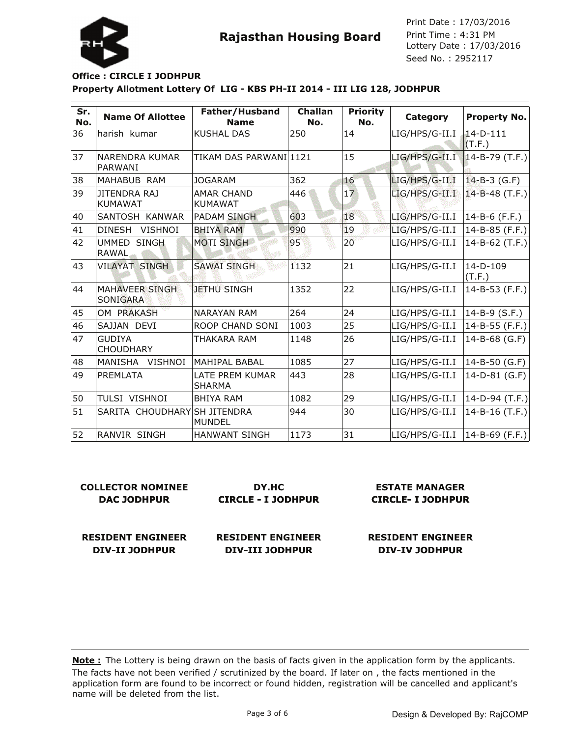

Lottery Date : 17/03/2016 Seed No. : 2952117 Print Date : 17/03/2016 Print Time : 4:31 PM

### **Property Allotment Lottery Of LIG - KBS PH-II 2014 - III LIG 128, JODHPUR Office : CIRCLE I JODHPUR**

| Sr.<br>No. | <b>Name Of Allottee</b>               | Father/Husband<br><b>Name</b>       | Challan<br>No. | <b>Priority</b><br>No. | Category       | <b>Property No.</b>  |
|------------|---------------------------------------|-------------------------------------|----------------|------------------------|----------------|----------------------|
| 36         | harish kumar                          | <b>KUSHAL DAS</b>                   | 250            | 14                     | LIG/HPS/G-II.I | $14-D-111$<br>(T.F.) |
| 37         | <b>NARENDRA KUMAR</b><br>PARWANI      | TIKAM DAS PARWANI 1121              |                | 15                     | LIG/HPS/G-II.I | $14 - B - 79$ (T.F.) |
| 38         | MAHABUB RAM                           | <b>JOGARAM</b>                      | 362            | 16                     | LIG/HPS/G-II.I | $14 - B - 3$ (G.F)   |
| 39         | <b>JITENDRA RAJ</b><br><b>KUMAWAT</b> | <b>AMAR CHAND</b><br><b>KUMAWAT</b> | 446            | 17                     | LIG/HPS/G-II.I | $14 - B - 48$ (T.F.) |
| 40         | SANTOSH KANWAR                        | <b>PADAM SINGH</b>                  | 603            | 18                     | LIG/HPS/G-II.I | 14-B-6 (F.F.)        |
| 41         | <b>DINESH</b><br><b>VISHNOI</b>       | <b>BHIYA RAM</b>                    | 990            | 19                     | LIG/HPS/G-II.I | 14-B-85 (F.F.)       |
| 42         | UMMED SINGH<br><b>RAWAL</b>           | <b>MOTI SINGH</b>                   | 95             | 20                     | LIG/HPS/G-II.I | $14 - B - 62$ (T.F.) |
| 43         | <b>VILAYAT SINGH</b>                  | <b>SAWAI SINGH</b>                  | 1132           | 21                     | LIG/HPS/G-II.I | $14-D-109$<br>(T.F.) |
| 44         | <b>MAHAVEER SINGH</b><br>SONIGARA     | <b>JETHU SINGH</b>                  | 1352           | 22                     | LIG/HPS/G-II.I | 14-B-53 (F.F.)       |
| 45         | OM PRAKASH                            | <b>NARAYAN RAM</b>                  | 264            | 24                     | LIG/HPS/G-II.I | $14 - B - 9$ (S.F.)  |
| 46         | SAJJAN DEVI                           | ROOP CHAND SONI                     | 1003           | 25                     | LIG/HPS/G-II.I | 14-B-55 (F.F.)       |
| 47         | <b>GUDIYA</b><br><b>CHOUDHARY</b>     | THAKARA RAM                         | 1148           | 26                     | LIG/HPS/G-II.I | 14-B-68 (G.F)        |
| 48         | MANISHA<br><b>VISHNOI</b>             | MAHIPAL BABAL                       | 1085           | 27                     | LIG/HPS/G-II.I | $14 - B - 50$ (G.F)  |
| 49         | <b>PREMLATA</b>                       | LATE PREM KUMAR<br><b>SHARMA</b>    | 443            | 28                     | LIG/HPS/G-II.I | 14-D-81 (G.F)        |
| 50         | TULSI VISHNOI                         | <b>BHIYA RAM</b>                    | 1082           | 29                     | LIG/HPS/G-II.I | $ 14-D-94(T.F.) $    |
| 51         | SARITA CHOUDHARY SH JITENDRA          | <b>MUNDEL</b>                       | 944            | 30                     | LIG/HPS/G-II.I | $14 - B - 16$ (T.F.) |
| 52         | RANVIR SINGH                          | <b>HANWANT SINGH</b>                | 1173           | 31                     | LIG/HPS/G-II.I | $14 - B - 69$ (F.F.) |

| <b>COLLECTOR NOMINEE</b> | DY.HC                     | <b>ESTATE MANAGER</b>    |  |
|--------------------------|---------------------------|--------------------------|--|
| <b>DAC JODHPUR</b>       | <b>CIRCLE - I JODHPUR</b> | <b>CIRCLE-I JODHPUR</b>  |  |
| <b>RESIDENT ENGINEER</b> | <b>RESIDENT ENGINEER</b>  | <b>RESIDENT ENGINEER</b> |  |
| DIV-II JODHPUR           | <b>DIV-III JODHPUR</b>    | <b>DIV-IV JODHPUR</b>    |  |

The facts have not been verified / scrutinized by the board. If later on , the facts mentioned in the application form are found to be incorrect or found hidden, registration will be cancelled and applicant's name will be deleted from the list. **Note :** The Lottery is being drawn on the basis of facts given in the application form by the applicants.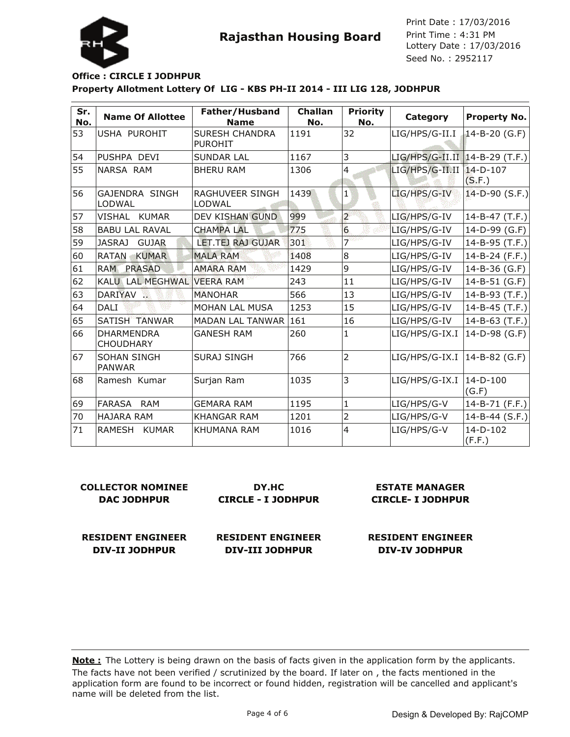

Lottery Date : 17/03/2016 Seed No. : 2952117 Print Date : 17/03/2016 Print Time : 4:31 PM

### **Property Allotment Lottery Of LIG - KBS PH-II 2014 - III LIG 128, JODHPUR Office : CIRCLE I JODHPUR**

| Sr.<br>No. | <b>Name Of Allottee</b>               | Father/Husband<br><b>Name</b>           | Challan<br>No. | <b>Priority</b><br>No. | Category                         | Property No.             |
|------------|---------------------------------------|-----------------------------------------|----------------|------------------------|----------------------------------|--------------------------|
| 53         | USHA PUROHIT                          | <b>SURESH CHANDRA</b><br><b>PUROHIT</b> | 1191           | 32                     | LIG/HPS/G-II.I                   | 14-B-20 (G.F)            |
| 54         | PUSHPA DEVI                           | <b>SUNDAR LAL</b>                       | 1167           | 3                      | $LIG/HPS/G-II.II$ 14-B-29 (T.F.) |                          |
| 55         | NARSA RAM                             | <b>BHERU RAM</b>                        | 1306           | $\overline{4}$         | LIG/HPS/G-II.II                  | $14 - D - 107$<br>(S,F.) |
| 56         | <b>GAJENDRA SINGH</b><br>LODWAL       | <b>RAGHUVEER SINGH</b><br>LODWAL        | 1439           | $\mathbf{1}$           | LIG/HPS/G-IV                     | $14-D-90$ (S.F.)         |
| 57         | VISHAL KUMAR                          | DEV KISHAN GUND                         | 999            | $\overline{a}$         | LIG/HPS/G-IV                     | $14 - B - 47$ (T.F.)     |
| 58         | <b>BABU LAL RAVAL</b>                 | <b>CHAMPA LAL</b>                       | 775            | $6 \overline{6}$       | LIG/HPS/G-IV                     | 14-D-99 (G.F)            |
| 59         | <b>JASRAJ</b><br><b>GUJAR</b>         | LET.TEJ RAJ GUJAR                       | 301            | 7                      | LIG/HPS/G-IV                     | 14-B-95 (T.F.)           |
| 60         | <b>RATAN</b><br><b>KUMAR</b>          | <b>MALA RAM</b>                         | 1408           | 8                      | LIG/HPS/G-IV                     | 14-B-24 (F.F.)           |
| 61         | <b>RAM</b><br><b>PRASAD</b>           | <b>AMARA RAM</b>                        | 1429           | 9                      | LIG/HPS/G-IV                     | 14-B-36 (G.F)            |
| 62         | KALU LAL MEGHWAL VEERA RAM            |                                         | 243            | 11                     | LIG/HPS/G-IV                     | 14-B-51 (G.F)            |
| 63         | DARIYAV                               | <b>MANOHAR</b>                          | 566            | 13                     | LIG/HPS/G-IV                     | $14 - B - 93$ (T.F.)     |
| 64         | <b>DALI</b>                           | MOHAN LAL MUSA                          | 1253           | 15                     | LIG/HPS/G-IV                     | $14 - B - 45$ (T.F.)     |
| 65         | SATISH TÄNWAR                         | <b>MADAN LAL TANWAR</b>                 | 161            | 16                     | LIG/HPS/G-IV                     | 14-B-63 (T.F.)           |
| 66         | <b>DHARMENDRA</b><br><b>CHOUDHARY</b> | <b>GANESH RAM</b>                       | 260            | $\mathbf{1}$           | LIG/HPS/G-IX.I                   | 14-D-98 (G.F)            |
| 67         | <b>SOHAN SINGH</b><br><b>PANWAR</b>   | <b>SURAJ SINGH</b>                      | 766            | $\overline{2}$         | LIG/HPS/G-IX.I                   | $ 14 - B - 82$ (G.F)     |
| 68         | Ramesh Kumar                          | Surjan Ram                              | 1035           | 3                      | LIG/HPS/G-IX.I                   | $14-D-100$<br>(G.F)      |
| 69         | FARASA<br><b>RAM</b>                  | <b>GEMARA RAM</b>                       | 1195           | $\mathbf{1}$           | LIG/HPS/G-V                      | 14-B-71 (F.F.)           |
| 70         | <b>HAJARA RAM</b>                     | <b>KHANGAR RAM</b>                      | 1201           | 2                      | LIG/HPS/G-V                      | 14-B-44 (S.F.)           |
| 71         | RAMESH KUMAR                          | <b>KHUMANA RAM</b>                      | 1016           | $\overline{4}$         | LIG/HPS/G-V                      | $14-D-102$<br>(F.F.)     |

**COLLECTOR NOMINEE DAC JODHPUR**

**DY.HC CIRCLE - I JODHPUR**

**ESTATE MANAGER CIRCLE- I JODHPUR**

**RESIDENT ENGINEER DIV-II JODHPUR**

**RESIDENT ENGINEER DIV-III JODHPUR**

**RESIDENT ENGINEER DIV-IV JODHPUR**

The facts have not been verified / scrutinized by the board. If later on , the facts mentioned in the application form are found to be incorrect or found hidden, registration will be cancelled and applicant's name will be deleted from the list. **Note :** The Lottery is being drawn on the basis of facts given in the application form by the applicants.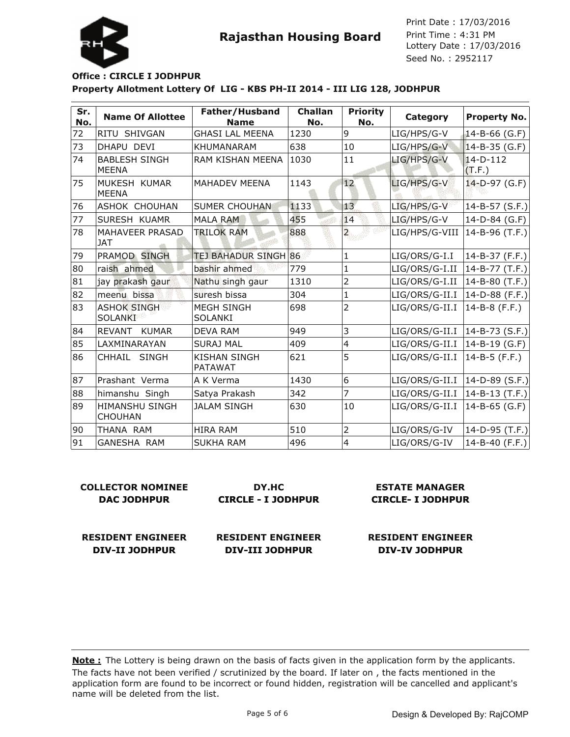



**DIV-II JODHPUR**

**Property Allotment Lottery Of LIG - KBS PH-II 2014 - III LIG 128, JODHPUR Office : CIRCLE I JODHPUR**

| Sr.<br>No. | <b>Name Of Allottee</b>                 | Father/Husband<br><b>Name</b>         | <b>Challan</b><br>No. | <b>Priority</b><br>No. | Category       | <b>Property No.</b>    |
|------------|-----------------------------------------|---------------------------------------|-----------------------|------------------------|----------------|------------------------|
| 72         | RITU SHIVGAN                            | <b>GHASI LAL MEENA</b>                | 1230                  | 9                      | LIG/HPS/G-V    | 14-B-66 (G.F)          |
| 73         | DHAPU DEVI                              | <b>KHUMANARAM</b>                     | 638                   | 10                     | LIG/HPS/G-V    | $14 - B - 35$ (G.F)    |
| 74         | <b>BABLESH SINGH</b><br><b>MEENA</b>    | RAM KISHAN MEENA                      | 1030                  | $ 11\rangle$           | LIG/HPS/G-V    | $14-D-112$<br>(T.F.)   |
| 75         | MUKESH KUMAR<br><b>MEENA</b>            | MAHADEV MEENA                         | 1143                  | 12                     | LIG/HPS/G-V    | 14-D-97 (G.F)          |
| 76         | ASHOK CHOUHAN                           | <b>SUMER CHOUHAN</b>                  | 1133                  | 13                     | LIG/HPS/G-V    | $ 14 - B - 57 (S.F.) $ |
| 77         | SURESH KUAMR                            | <b>MALA RAM</b>                       | 455                   | 14                     | LIG/HPS/G-V    | 14-D-84 (G.F)          |
| 78         | MAHAVEER PRASAD<br><b>JAT</b>           | <b>TRILOK RAM</b>                     | 888                   | $\overline{a}$         | LIG/HPS/G-VIII | 14-B-96 (T.F.)         |
| 79         | <b>PRAMOD SINGH</b>                     | <b>TEJ BAHADUR SINGH 86</b>           |                       | $\mathbf{1}$           | LIG/ORS/G-I.I  | $14 - B - 37$ (F.F.)   |
| 80         | raish ahmed                             | bashir ahmed                          | 779                   | $\mathbf{1}$           | LIG/ORS/G-I.II | 14-B-77 (T.F.)         |
| 81         | jay prakash gaur                        | Nathu singh gaur                      | 1310                  | 2                      | LIG/ORS/G-I.II | 14-B-80 (T.F.)         |
| 82         | meenu bissa                             | suresh bissa                          | 304                   | $\mathbf{1}$           | LIG/ORS/G-II.I | 14-D-88 (F.F.)         |
| 83         | <b>ASHOK SINGH</b><br>SOLANKI           | <b>MEGH SINGH</b><br><b>SOLANKI</b>   | 698                   | $\overline{2}$         | LIG/ORS/G-II.I | 14-B-8 (F.F.)          |
| 84         | REVANT KUMAR                            | <b>DEVA RAM</b>                       | 949                   | 3                      | LIG/ORS/G-II.I | $ 14 - B - 73 (S.F.) $ |
| 85         | LAXMINARAYAN                            | <b>SURAJ MAL</b>                      | 409                   | 4                      | LIG/ORS/G-II.I | $14 - B - 19$ (G.F)    |
| 86         | CHHAIL SINGH                            | <b>KISHAN SINGH</b><br><b>PATAWAT</b> | 621                   | 5                      | LIG/ORS/G-II.I | 14-B-5 (F.F.)          |
| 87         | Prashant Verma                          | A K Verma                             | 1430                  | 6                      | LIG/ORS/G-II.I | $ 14-D-89(S.F.) $      |
| 88         | himanshu Singh                          | Satya Prakash                         | 342                   | $\overline{7}$         | LIG/ORS/G-II.I | $ 14 - B - 13 (T.F.) $ |
| 89         | <b>HIMANSHU SINGH</b><br><b>CHOUHAN</b> | <b>JALAM SINGH</b>                    | 630                   | 10                     | LIG/ORS/G-II.I | $14 - B - 65$ (G.F)    |
| 90         | THANA RAM                               | <b>HIRA RAM</b>                       | 510                   | $\overline{2}$         | LIG/ORS/G-IV   | 14-D-95 (T.F.)         |
| 91         | <b>GANESHA RAM</b>                      | <b>SUKHA RAM</b>                      | 496                   | $\overline{4}$         | LIG/ORS/G-IV   | 14-B-40 (F.F.)         |

| <b>COLLECTOR NOMINEE</b> | DY.HC                     | <b>ESTATE MANAGER</b>    |
|--------------------------|---------------------------|--------------------------|
| <b>DAC JODHPUR</b>       | <b>CIRCLE - I JODHPUR</b> | <b>CIRCLE- I JODHPUR</b> |
| <b>RESIDENT ENGINEER</b> | <b>RESIDENT ENGINEER</b>  | <b>RESIDENT ENGINEER</b> |

**DIV-III JODHPUR**

The facts have not been verified / scrutinized by the board. If later on , the facts mentioned in the application form are found to be incorrect or found hidden, registration will be cancelled and applicant's name will be deleted from the list. **Note :** The Lottery is being drawn on the basis of facts given in the application form by the applicants.

**DIV-IV JODHPUR**